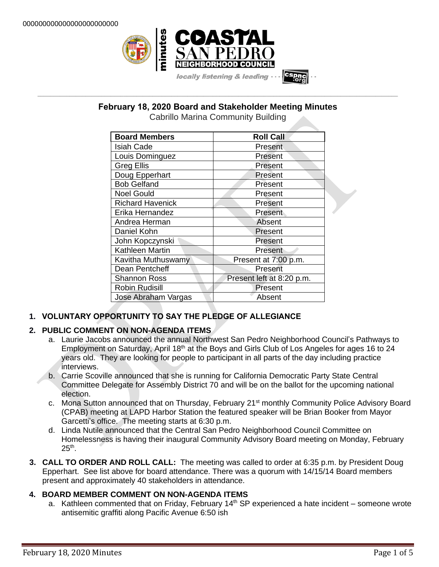

# **\_\_\_\_\_\_\_\_\_\_\_\_\_\_\_\_\_\_\_\_\_\_\_\_\_\_\_\_\_\_\_\_\_\_\_\_\_\_\_\_\_\_\_\_\_\_\_\_\_\_\_\_\_\_\_\_\_\_\_\_\_\_\_\_\_\_\_\_\_\_\_\_\_\_\_\_\_\_\_\_\_\_\_\_\_\_\_\_\_\_\_\_\_\_\_\_\_\_\_\_\_\_\_\_\_\_\_\_\_\_\_\_\_ February 18, 2020 Board and Stakeholder Meeting Minutes**

Cabrillo Marina Community Building

| <b>Board Members</b>    | <b>Roll Call</b>          |
|-------------------------|---------------------------|
| <b>Isiah Cade</b>       | Present                   |
| Louis Dominguez         | Present                   |
| <b>Greg Ellis</b>       | Present                   |
| Doug Epperhart          | Present                   |
| <b>Bob Gelfand</b>      | Present                   |
| <b>Noel Gould</b>       | Present                   |
| <b>Richard Havenick</b> | Present                   |
| Erika Hernandez         | Present                   |
| Andrea Herman           | Absent                    |
| Daniel Kohn             | Present                   |
| John Kopczynski         | Present                   |
| Kathleen Martin         | Present                   |
| Kavitha Muthuswamy      | Present at 7:00 p.m.      |
| Dean Pentcheff          | Present                   |
| <b>Shannon Ross</b>     | Present left at 8:20 p.m. |
| <b>Robin Rudisill</b>   | Present                   |
| Jose Abraham Vargas     | Absent                    |

# **1. VOLUNTARY OPPORTUNITY TO SAY THE PLEDGE OF ALLEGIANCE**

# **2. PUBLIC COMMENT ON NON-AGENDA ITEMS**

- a. Laurie Jacobs announced the annual Northwest San Pedro Neighborhood Council's Pathways to Employment on Saturday, April 18<sup>th</sup> at the Boys and Girls Club of Los Angeles for ages 16 to 24 years old. They are looking for people to participant in all parts of the day including practice interviews.
- b. Carrie Scoville announced that she is running for California Democratic Party State Central Committee Delegate for Assembly District 70 and will be on the ballot for the upcoming national election.
- c. Mona Sutton announced that on Thursday, February 21<sup>st</sup> monthly Community Police Advisory Board (CPAB) meeting at LAPD Harbor Station the featured speaker will be Brian Booker from Mayor Garcetti's office. The meeting starts at 6:30 p.m.
- d. Linda Nutile announced that the Central San Pedro Neighborhood Council Committee on Homelessness is having their inaugural Community Advisory Board meeting on Monday, February  $25<sup>th</sup>$ .
- **3. CALL TO ORDER AND ROLL CALL:** The meeting was called to order at 6:35 p.m. by President Doug Epperhart. See list above for board attendance. There was a quorum with 14/15/14 Board members present and approximately 40 stakeholders in attendance.

## **4. BOARD MEMBER COMMENT ON NON-AGENDA ITEMS**

a. Kathleen commented that on Friday, February  $14<sup>th</sup>$  SP experienced a hate incident – someone wrote antisemitic graffiti along Pacific Avenue 6:50 ish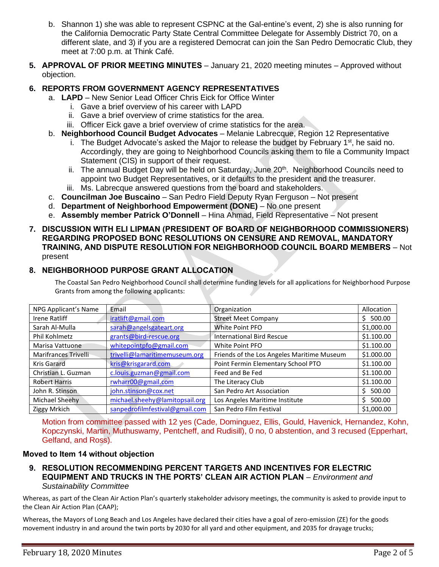- b. Shannon 1) she was able to represent CSPNC at the Gal-entine's event, 2) she is also running for the California Democratic Party State Central Committee Delegate for Assembly District 70, on a different slate, and 3) if you are a registered Democrat can join the San Pedro Democratic Club, they meet at 7:00 p.m. at Think Café.
- **5. APPROVAL OF PRIOR MEETING MINUTES** January 21, 2020 meeting minutes Approved without objection.

## **6. REPORTS FROM GOVERNMENT AGENCY REPRESENTATIVES**

- a. **LAPD** New Senior Lead Officer Chris Eick for Office Winter
	- i. Gave a brief overview of his career with LAPD
	- ii. Gave a brief overview of crime statistics for the area.
	- iii. Officer Eick gave a brief overview of crime statistics for the area.
- b. **Neighborhood Council Budget Advocates** Melanie Labrecque, Region 12 Representative
	- i. The Budget Advocate's asked the Major to release the budget by February  $1<sup>st</sup>$ , he said no. Accordingly, they are going to Neighborhood Councils asking them to file a Community Impact Statement (CIS) in support of their request.
	- ii. The annual Budget Day will be held on Saturday, June 20<sup>th</sup>. Neighborhood Councils need to appoint two Budget Representatives, or it defaults to the president and the treasurer.
	- iii. Ms. Labrecque answered questions from the board and stakeholders.
- c. **Councilman Joe Buscaino** San Pedro Field Deputy Ryan Ferguson Not present
- d. **Department of Neighborhood Empowerment (DONE)** No one present
- e. **Assembly member Patrick O'Donnell** Hina Ahmad, Field Representative Not present
- **7. DISCUSSION WITH ELI LIPMAN (PRESIDENT OF BOARD OF NEIGHBORHOOD COMMISSIONERS) REGARDING PROPOSED BONC RESOLUTIONS ON CENSURE AND REMOVAL, MANDATORY TRAINING, AND DISPUTE RESOLUTION FOR NEIGHBORHOOD COUNCIL BOARD MEMBERS** – Not present

## **8. NEIGHBORHOOD PURPOSE GRANT ALLOCATION**

The Coastal San Pedro Neighborhood Council shall determine funding levels for all applications for Neighborhood Purpose Grants from among the following applicants:

| NPG Applicant's Name | Email                          | Organization                               | Allocation |
|----------------------|--------------------------------|--------------------------------------------|------------|
| Irene Ratliff        | iratlift@gmail.com             | <b>Street Meet Company</b>                 | \$500.00   |
| Sarah Al-Mulla       | sarah@angelsgateart.org        | White Point PFO                            | \$1,000.00 |
| Phil Kohlmetz        | grants@bird-rescue.org         | <b>International Bird Rescue</b>           | \$1.100.00 |
| Marisa Vattuone      | whitepointpfo@gmail.com        | White Point PFO                            | \$1.100.00 |
| Marifrances Trivelli | trivelli@lamaritimemuseum.org  | Friends of the Los Angeles Maritime Museum | \$1.000.00 |
| Kris Garard          | kris@krisgarard.com            | Point Fermin Elementary School PTO         | \$1.100.00 |
| Christian L. Guzman  | c.louis.guzman@gmail.com       | Feed and Be Fed                            | \$1.100.00 |
| <b>Robert Harris</b> | rwharr00@gmail.com             | The Literacy Club                          | \$1.100.00 |
| John R. Stinson      | john.stinson@cox.net           | San Pedro Art Association                  | \$500.00   |
| Michael Sheehy       | michael.sheehy@lamitopsail.org | Los Angeles Maritime Institute             | \$500.00   |
| Ziggy Mrkich         | sanpedrofilmfestival@gmail.com | San Pedro Film Festival                    | \$1,000.00 |

Motion from committee passed with 12 yes (Cade, Dominguez, Ellis, Gould, Havenick, Hernandez, Kohn, Kopczynski, Martin, Muthuswamy, Pentcheff, and Rudisill), 0 no, 0 abstention, and 3 recused (Epperhart, Gelfand, and Ross).

#### **Moved to Item 14 without objection**

**9. RESOLUTION RECOMMENDING PERCENT TARGETS AND INCENTIVES FOR ELECTRIC EQUIPMENT AND TRUCKS IN THE PORTS' CLEAN AIR ACTION PLAN** – *Environment and Sustainability Committee*

Whereas, as part of the Clean Air Action Plan's quarterly stakeholder advisory meetings, the community is asked to provide input to the Clean Air Action Plan (CAAP);

Whereas, the Mayors of Long Beach and Los Angeles have declared their cities have a goal of zero-emission (ZE) for the goods movement industry in and around the twin ports by 2030 for all yard and other equipment, and 2035 for drayage trucks;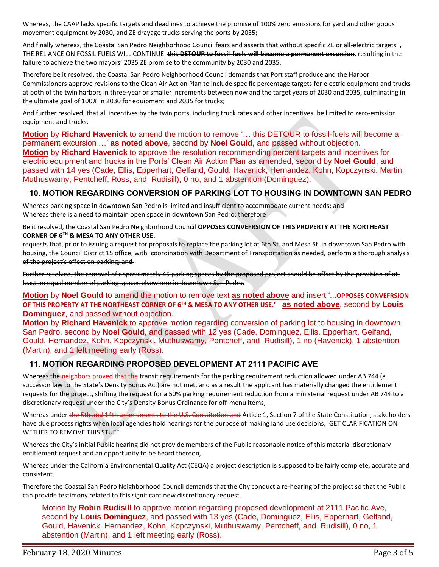Whereas, the CAAP lacks specific targets and deadlines to achieve the promise of 100% zero emissions for yard and other goods movement equipment by 2030, and ZE drayage trucks serving the ports by 2035;

And finally whereas, the Coastal San Pedro Neighborhood Council fears and asserts that without specific ZE or all-electric targets , THE RELIANCE ON FOSSIL FUELS WILL CONTINUE **this DETOUR to fossil-fuels will become a permanent excursion**, resulting in the failure to achieve the two mayors' 2035 ZE promise to the community by 2030 and 2035.

Therefore be it resolved, the Coastal San Pedro Neighborhood Council demands that Port staff produce and the Harbor Commissioners approve revisions to the Clean Air Action Plan to include specific percentage targets for electric equipment and trucks at both of the twin harbors in three-year or smaller increments between now and the target years of 2030 and 2035, culminating in the ultimate goal of 100% in 2030 for equipment and 2035 for trucks;

And further resolved, that all incentives by the twin ports, including truck rates and other incentives, be limited to zero-emission equipment and trucks.

**Motion** by **Richard Havenick** to amend the motion to remove '... this DETOUR to fossil-fuels will become a permanent excursion …' **as noted above**, second by **Noel Gould**, and passed without objection. **Motion** by **Richard Havenick** to approve the resolution recommending percent targets and incentives for electric equipment and trucks in the Ports' Clean Air Action Plan as amended, second by **Noel Gould**, and passed with 14 yes (Cade, Ellis, Epperhart, Gelfand, Gould, Havenick, Hernandez, Kohn, Kopczynski, Martin, Muthuswamy, Pentcheff, Ross, and Rudisill), 0 no, and 1 abstention (Dominguez).

#### **10. MOTION REGARDING CONVERSION OF PARKING LOT TO HOUSING IN DOWNTOWN SAN PEDRO**

Whereas parking space in downtown San Pedro is limited and insufficient to accommodate current needs; and Whereas there is a need to maintain open space in downtown San Pedro; therefore

Be it resolved, the Coastal San Pedro Neighborhood Council **OPPOSES CONVEFRSION OF THIS PROPERTY AT THE NORTHEAST CORNER OF 6 TH & MESA TO ANY OTHER USE.**

requests that, prior to issuing a request for proposals to replace the parking lot at 6th St. and Mesa St. in downtown San Pedro with housing, the Council District 15 office, with coordination with Department of Transportation as needed, perform a thorough analysis of the project's effect on parking; and

Further resolved, the removal of approximately 45 parking spaces by the proposed project should be offset by the provision of at least an equal number of parking spaces elsewhere in downtown San Pedro.

**Motion** by **Noel Gould** to amend the motion to remove text **as noted above** and insert '...**OPPOSES CONVEFRSION OF THIS PROPERTY AT THE NORTHEAST CORNER OF 6 TH & MESA TO ANY OTHER USE.' as noted above**, second by **Louis Dominguez**, and passed without objection.

**Motion** by **Richard Havenick** to approve motion regarding conversion of parking lot to housing in downtown San Pedro, second by **Noel Gould**, and passed with 12 yes (Cade, Dominguez, Ellis, Epperhart, Gelfand, Gould, Hernandez, Kohn, Kopczynski, Muthuswamy, Pentcheff, and Rudisill), 1 no (Havenick), 1 abstention (Martin), and 1 left meeting early (Ross).

#### **11. MOTION REGARDING PROPOSED DEVELOPMENT AT 2111 PACIFIC AVE**

Whereas the neighbors proved that the transit requirements for the parking requirement reduction allowed under AB 744 (a successor law to the State's Density Bonus Act) are not met, and as a result the applicant has materially changed the entitlement requests for the project, shifting the request for a 50% parking requirement reduction from a ministerial request under AB 744 to a discretionary request under the City's Density Bonus Ordinance for off-menu items,

Whereas under the 5th and 14th amendments to the U.S. Constitution and Article 1, Section 7 of the State Constitution, stakeholders have due process rights when local agencies hold hearings for the purpose of making land use decisions, GET CLARIFICATION ON WETHER TO REMOVE THIS STUFF

Whereas the City's initial Public hearing did not provide members of the Public reasonable notice of this material discretionary entitlement request and an opportunity to be heard thereon,

Whereas under the California Environmental Quality Act (CEQA) a project description is supposed to be fairly complete, accurate and consistent.

Therefore the Coastal San Pedro Neighborhood Council demands that the City conduct a re-hearing of the project so that the Public can provide testimony related to this significant new discretionary request.

Motion by **Robin Rudisill** to approve motion regarding proposed development at 2111 Pacific Ave, second by **Louis Dominguez**, and passed with 13 yes (Cade, Dominguez, Ellis, Epperhart, Gelfand, Gould, Havenick, Hernandez, Kohn, Kopczynski, Muthuswamy, Pentcheff, and Rudisill), 0 no, 1 abstention (Martin), and 1 left meeting early (Ross).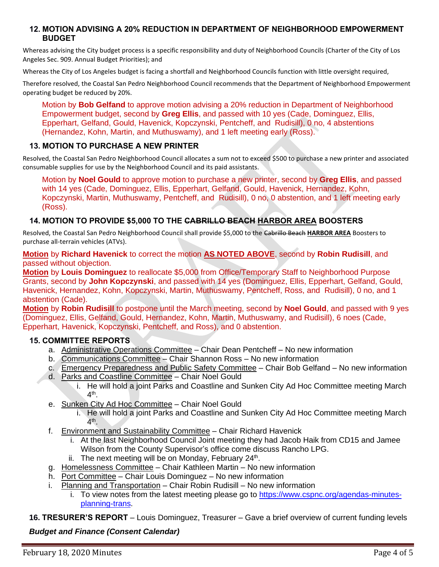#### **12. MOTION ADVISING A 20% REDUCTION IN DEPARTMENT OF NEIGHBORHOOD EMPOWERMENT BUDGET**

Whereas advising the City budget process is a specific responsibility and duty of Neighborhood Councils (Charter of the City of Los Angeles Sec. 909. Annual Budget Priorities); and

Whereas the City of Los Angeles budget is facing a shortfall and Neighborhood Councils function with little oversight required,

Therefore resolved, the Coastal San Pedro Neighborhood Council recommends that the Department of Neighborhood Empowerment operating budget be reduced by 20%.

Motion by **Bob Gelfand** to approve motion advising a 20% reduction in Department of Neighborhood Empowerment budget, second by **Greg Ellis**, and passed with 10 yes (Cade, Dominguez, Ellis, Epperhart, Gelfand, Gould, Havenick, Kopczynski, Pentcheff, and Rudisill), 0 no, 4 abstentions (Hernandez, Kohn, Martin, and Muthuswamy), and 1 left meeting early (Ross).

#### **13. MOTION TO PURCHASE A NEW PRINTER**

Resolved, the Coastal San Pedro Neighborhood Council allocates a sum not to exceed \$500 to purchase a new printer and associated consumable supplies for use by the Neighborhood Council and its paid assistants.

Motion by **Noel Gould** to approve motion to purchase a new printer, second by **Greg Ellis**, and passed with 14 yes (Cade, Dominguez, Ellis, Epperhart, Gelfand, Gould, Havenick, Hernandez, Kohn, Kopczynski, Martin, Muthuswamy, Pentcheff, and Rudisill), 0 no, 0 abstention, and 1 left meeting early (Ross).

## **14. MOTION TO PROVIDE \$5,000 TO THE CABRILLO BEACH HARBOR AREA BOOSTERS**

Resolved, the Coastal San Pedro Neighborhood Council shall provide \$5,000 to the Cabrillo Beach **HARBOR AREA** Boosters to purchase all-terrain vehicles (ATVs).

**Motion** by **Richard Havenick** to correct the motion **AS NOTED ABOVE**, second by **Robin Rudisill**, and passed without objection.

**Motion** by **Louis Dominguez** to reallocate \$5,000 from Office/Temporary Staff to Neighborhood Purpose Grants, second by **John Kopczynski**, and passed with 14 yes (Dominguez, Ellis, Epperhart, Gelfand, Gould, Havenick, Hernandez, Kohn, Kopczynski, Martin, Muthuswamy, Pentcheff, Ross, and Rudisill), 0 no, and 1 abstention (Cade).

**Motion** by **Robin Rudisill** to postpone until the March meeting, second by **Noel Gould**, and passed with 9 yes (Dominguez, Ellis, Gelfand, Gould, Hernandez, Kohn, Martin, Muthuswamy, and Rudisill), 6 noes (Cade, Epperhart, Havenick, Kopczynski, Pentcheff, and Ross), and 0 abstention.

#### **15. COMMITTEE REPORTS**

- a. Administrative Operations Committee Chair Dean Pentcheff No new information
- b. Communications Committee Chair Shannon Ross No new information
- c. Emergency Preparedness and Public Safety Committee Chair Bob Gelfand No new information
- d. Parks and Coastline Committee Chair Noel Gould
	- i. He will hold a joint Parks and Coastline and Sunken City Ad Hoc Committee meeting March 4<sup>th</sup>.
- e. Sunken City Ad Hoc Committee Chair Noel Gould
	- i. He will hold a joint Parks and Coastline and Sunken City Ad Hoc Committee meeting March 4<sup>th</sup>.
- f. Environment and Sustainability Committee Chair Richard Havenick
	- i. At the last Neighborhood Council Joint meeting they had Jacob Haik from CD15 and Jamee Wilson from the County Supervisor's office come discuss Rancho LPG.
	- ii. The next meeting will be on Monday, February  $24<sup>th</sup>$ .
- g. Homelessness Committee Chair Kathleen Martin No new information
- h. Port Committee Chair Louis Dominguez No new information
- i. Planning and Transportation Chair Robin Rudisill No new information
	- i. To view notes from the latest meeting please go to [https://www.cspnc.org/agendas-minutes](https://www.cspnc.org/agendas-minutes-planning-trans)[planning-trans.](https://www.cspnc.org/agendas-minutes-planning-trans)

**16. TRESURER'S REPORT** – Louis Dominguez, Treasurer – Gave a brief overview of current funding levels

*Budget and Finance (Consent Calendar)*